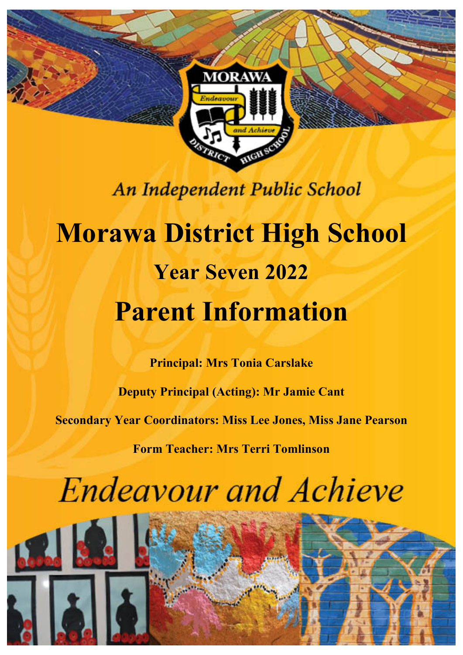

# An Independent Public School

# **Morawa District High School Year Seven 2022 Parent Information**

**Principal: Mrs Tonia Carslake**

**Deputy Principal (Acting): Mr Jamie Cant**

**Secondary Year Coordinators: Miss Lee Jones, Miss Jane Pearson**

**Form Teacher: Mrs Terri Tomlinson**

**Endeavour and Achieve** 

oooo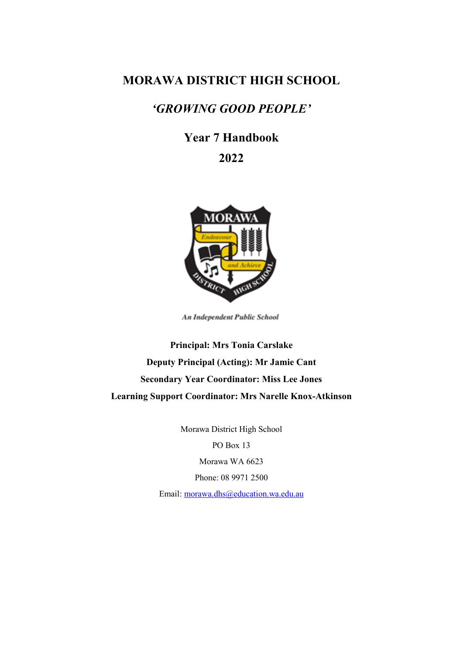# **MORAWA DISTRICT HIGH SCHOOL**

# *'GROWING GOOD PEOPLE'*

**Year 7 Handbook**

**2022**



An Independent Public School

**Principal: Mrs Tonia Carslake Deputy Principal (Acting): Mr Jamie Cant Secondary Year Coordinator: Miss Lee Jones Learning Support Coordinator: Mrs Narelle Knox-Atkinson**

> Morawa District High School PO Box 13 Morawa WA 6623 Phone: 08 9971 2500 Email: [morawa.dhs@education.wa.edu.au](mailto:morawa.dhs@education.wa.edu.au)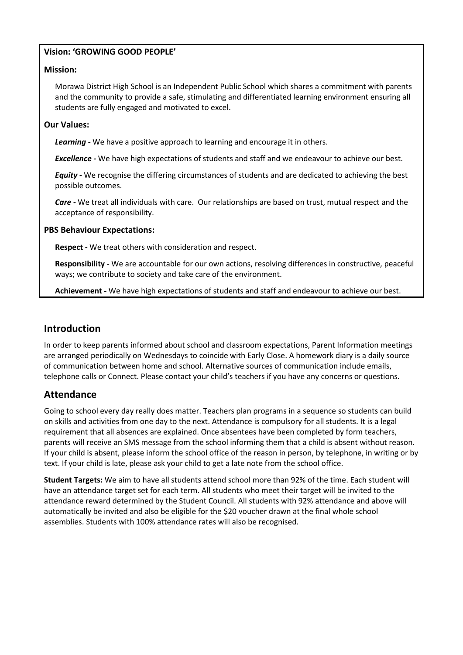#### **Vision: 'GROWING GOOD PEOPLE'**

#### **Mission:**

Morawa District High School is an Independent Public School which shares a commitment with parents and the community to provide a safe, stimulating and differentiated learning environment ensuring all students are fully engaged and motivated to excel.

#### **Our Values:**

*Learning -* We have a positive approach to learning and encourage it in others.

*Excellence -* We have high expectations of students and staff and we endeavour to achieve our best.

*Equity -* We recognise the differing circumstances of students and are dedicated to achieving the best possible outcomes.

*Care -* We treat all individuals with care. Our relationships are based on trust, mutual respect and the acceptance of responsibility.

#### **PBS Behaviour Expectations:**

**Respect -** We treat others with consideration and respect.

**Responsibility -** We are accountable for our own actions, resolving differences in constructive, peaceful ways; we contribute to society and take care of the environment.

**Achievement -** We have high expectations of students and staff and endeavour to achieve our best.

## **Introduction**

In order to keep parents informed about school and classroom expectations, Parent Information meetings are arranged periodically on Wednesdays to coincide with Early Close. A homework diary is a daily source of communication between home and school. Alternative sources of communication include emails, telephone calls or Connect. Please contact your child's teachers if you have any concerns or questions.

# **Attendance**

Going to school every day really does matter. Teachers plan programs in a sequence so students can build on skills and activities from one day to the next. Attendance is compulsory for all students. It is a legal requirement that all absences are explained. Once absentees have been completed by form teachers, parents will receive an SMS message from the school informing them that a child is absent without reason. If your child is absent, please inform the school office of the reason in person, by telephone, in writing or by text. If your child is late, please ask your child to get a late note from the school office.

**Student Targets:** We aim to have all students attend school more than 92% of the time. Each student will have an attendance target set for each term. All students who meet their target will be invited to the attendance reward determined by the Student Council. All students with 92% attendance and above will automatically be invited and also be eligible for the \$20 voucher drawn at the final whole school assemblies. Students with 100% attendance rates will also be recognised.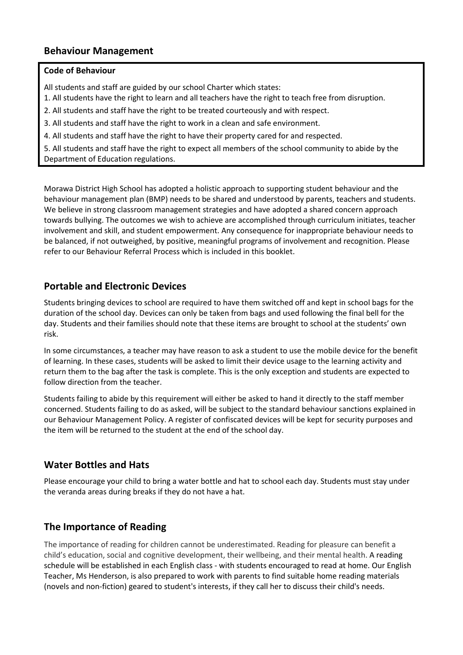## **Behaviour Management**

#### **Code of Behaviour**

All students and staff are guided by our school Charter which states:

- 1. All students have the right to learn and all teachers have the right to teach free from disruption.
- 2. All students and staff have the right to be treated courteously and with respect.
- 3. All students and staff have the right to work in a clean and safe environment.
- 4. All students and staff have the right to have their property cared for and respected.

5. All students and staff have the right to expect all members of the school community to abide by the Department of Education regulations.

Morawa District High School has adopted a holistic approach to supporting student behaviour and the behaviour management plan (BMP) needs to be shared and understood by parents, teachers and students. We believe in strong classroom management strategies and have adopted a shared concern approach towards bullying. The outcomes we wish to achieve are accomplished through curriculum initiates, teacher involvement and skill, and student empowerment. Any consequence for inappropriate behaviour needs to be balanced, if not outweighed, by positive, meaningful programs of involvement and recognition. Please refer to our Behaviour Referral Process which is included in this booklet.

# **Portable and Electronic Devices**

Students bringing devices to school are required to have them switched off and kept in school bags for the duration of the school day. Devices can only be taken from bags and used following the final bell for the day. Students and their families should note that these items are brought to school at the students' own risk.

In some circumstances, a teacher may have reason to ask a student to use the mobile device for the benefit of learning. In these cases, students will be asked to limit their device usage to the learning activity and return them to the bag after the task is complete. This is the only exception and students are expected to follow direction from the teacher.

Students failing to abide by this requirement will either be asked to hand it directly to the staff member concerned. Students failing to do as asked, will be subject to the standard behaviour sanctions explained in our Behaviour Management Policy. A register of confiscated devices will be kept for security purposes and the item will be returned to the student at the end of the school day.

# **Water Bottles and Hats**

Please encourage your child to bring a water bottle and hat to school each day. Students must stay under the veranda areas during breaks if they do not have a hat.

# **The Importance of Reading**

The importance of reading for children cannot be underestimated. Reading for pleasure can benefit a child's education, social and cognitive development, their wellbeing, and their mental health. A reading schedule will be established in each English class - with students encouraged to read at home. Our English Teacher, Ms Henderson, is also prepared to work with parents to find suitable home reading materials (novels and non-fiction) geared to student's interests, if they call her to discuss their child's needs.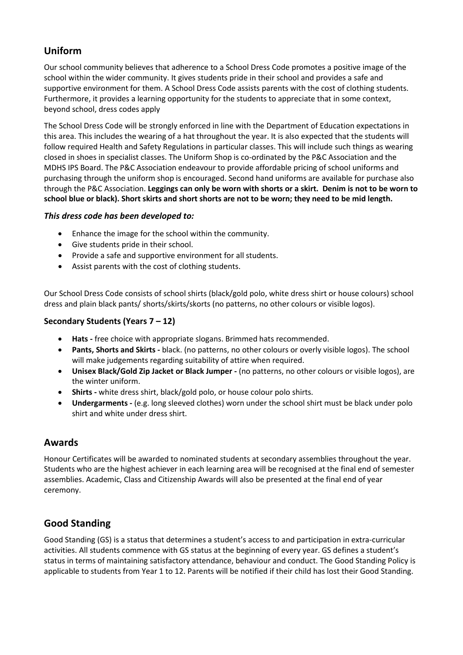# **Uniform**

Our school community believes that adherence to a School Dress Code promotes a positive image of the school within the wider community. It gives students pride in their school and provides a safe and supportive environment for them. A School Dress Code assists parents with the cost of clothing students. Furthermore, it provides a learning opportunity for the students to appreciate that in some context, beyond school, dress codes apply

The School Dress Code will be strongly enforced in line with the Department of Education expectations in this area. This includes the wearing of a hat throughout the year. It is also expected that the students will follow required Health and Safety Regulations in particular classes. This will include such things as wearing closed in shoes in specialist classes. The Uniform Shop is co-ordinated by the P&C Association and the MDHS IPS Board. The P&C Association endeavour to provide affordable pricing of school uniforms and purchasing through the uniform shop is encouraged. Second hand uniforms are available for purchase also through the P&C Association. **Leggings can only be worn with shorts or a skirt. Denim is not to be worn to school blue or black). Short skirts and short shorts are not to be worn; they need to be mid length.**

#### *This dress code has been developed to:*

- Enhance the image for the school within the community.
- Give students pride in their school.
- Provide a safe and supportive environment for all students.
- Assist parents with the cost of clothing students.

Our School Dress Code consists of school shirts (black/gold polo, white dress shirt or house colours) school dress and plain black pants/ shorts/skirts/skorts (no patterns, no other colours or visible logos).

#### **Secondary Students (Years 7 – 12)**

- **Hats -** free choice with appropriate slogans. Brimmed hats recommended.
- **Pants, Shorts and Skirts -** black. (no patterns, no other colours or overly visible logos). The school will make judgements regarding suitability of attire when required.
- **Unisex Black/Gold Zip Jacket or Black Jumper -** (no patterns, no other colours or visible logos), are the winter uniform.
- **Shirts -** white dress shirt, black/gold polo, or house colour polo shirts.
- **Undergarments -** (e.g. long sleeved clothes) worn under the school shirt must be black under polo shirt and white under dress shirt.

# **Awards**

Honour Certificates will be awarded to nominated students at secondary assemblies throughout the year. Students who are the highest achiever in each learning area will be recognised at the final end of semester assemblies. Academic, Class and Citizenship Awards will also be presented at the final end of year ceremony.

# **Good Standing**

Good Standing (GS) is a status that determines a student's access to and participation in extra-curricular activities. All students commence with GS status at the beginning of every year. GS defines a student's status in terms of maintaining satisfactory attendance, behaviour and conduct. The Good Standing Policy is applicable to students from Year 1 to 12. Parents will be notified if their child has lost their Good Standing.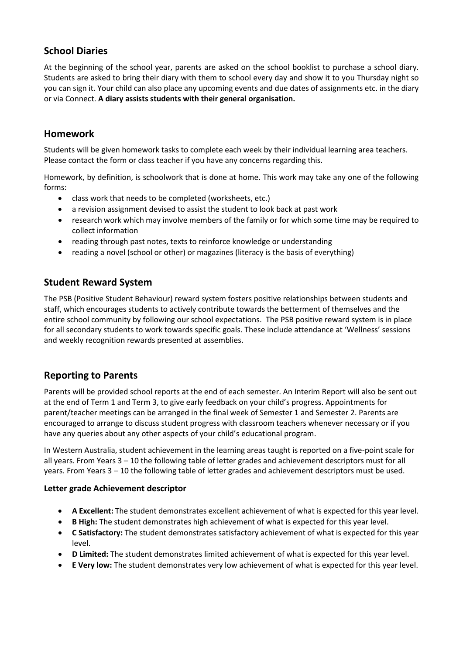# **School Diaries**

At the beginning of the school year, parents are asked on the school booklist to purchase a school diary. Students are asked to bring their diary with them to school every day and show it to you Thursday night so you can sign it. Your child can also place any upcoming events and due dates of assignments etc. in the diary or via Connect. **A diary assists students with their general organisation.**

## **Homework**

Students will be given homework tasks to complete each week by their individual learning area teachers. Please contact the form or class teacher if you have any concerns regarding this.

Homework, by definition, is schoolwork that is done at home. This work may take any one of the following forms:

- class work that needs to be completed (worksheets, etc.)
- a revision assignment devised to assist the student to look back at past work
- research work which may involve members of the family or for which some time may be required to collect information
- reading through past notes, texts to reinforce knowledge or understanding
- reading a novel (school or other) or magazines (literacy is the basis of everything)

# **Student Reward System**

The PSB (Positive Student Behaviour) reward system fosters positive relationships between students and staff, which encourages students to actively contribute towards the betterment of themselves and the entire school community by following our school expectations. The PSB positive reward system is in place for all secondary students to work towards specific goals. These include attendance at 'Wellness' sessions and weekly recognition rewards presented at assemblies.

# **Reporting to Parents**

Parents will be provided school reports at the end of each semester. An Interim Report will also be sent out at the end of Term 1 and Term 3, to give early feedback on your child's progress. Appointments for parent/teacher meetings can be arranged in the final week of Semester 1 and Semester 2. Parents are encouraged to arrange to discuss student progress with classroom teachers whenever necessary or if you have any queries about any other aspects of your child's educational program.

In Western Australia, student achievement in the learning areas taught is reported on a five-point scale for all years. From Years 3 – 10 the following table of letter grades and achievement descriptors must for all years. From Years 3 – 10 the following table of letter grades and achievement descriptors must be used.

#### **Letter grade Achievement descriptor**

- **A Excellent:** The student demonstrates excellent achievement of what is expected for this year level.
- **B High:** The student demonstrates high achievement of what is expected for this year level.
- **C Satisfactory:** The student demonstrates satisfactory achievement of what is expected for this year level.
- **D Limited:** The student demonstrates limited achievement of what is expected for this year level.
- **E Very low:** The student demonstrates very low achievement of what is expected for this year level.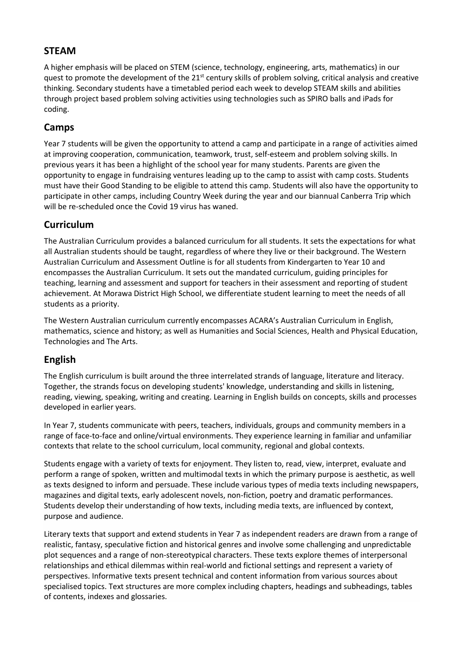# **STEAM**

A higher emphasis will be placed on STEM (science, technology, engineering, arts, mathematics) in our quest to promote the development of the  $21<sup>st</sup>$  century skills of problem solving, critical analysis and creative thinking. Secondary students have a timetabled period each week to develop STEAM skills and abilities through project based problem solving activities using technologies such as SPIRO balls and iPads for coding.

# **Camps**

Year 7 students will be given the opportunity to attend a camp and participate in a range of activities aimed at improving cooperation, communication, teamwork, trust, self-esteem and problem solving skills. In previous years it has been a highlight of the school year for many students. Parents are given the opportunity to engage in fundraising ventures leading up to the camp to assist with camp costs. Students must have their Good Standing to be eligible to attend this camp. Students will also have the opportunity to participate in other camps, including Country Week during the year and our biannual Canberra Trip which will be re-scheduled once the Covid 19 virus has waned.

# **Curriculum**

The Australian Curriculum provides a balanced curriculum for all students. It sets the expectations for what all Australian students should be taught, regardless of where they live or their background. The Western Australian Curriculum and Assessment Outline is for all students from Kindergarten to Year 10 and encompasses the Australian Curriculum. It sets out the mandated curriculum, guiding principles for teaching, learning and assessment and support for teachers in their assessment and reporting of student achievement. At Morawa District High School, we differentiate student learning to meet the needs of all students as a priority.

The Western Australian curriculum currently encompasses ACARA's Australian Curriculum in English, mathematics, science and history; as well as Humanities and Social Sciences, Health and Physical Education, Technologies and The Arts.

# **English**

The English curriculum is built around the three interrelated strands of language, literature and literacy. Together, the strands focus on developing students' knowledge, understanding and skills in listening, reading, viewing, speaking, writing and creating. Learning in English builds on concepts, skills and processes developed in earlier years.

In Year 7, students communicate with peers, teachers, individuals, groups and community members in a range of face-to-face and online/virtual environments. They experience learning in familiar and unfamiliar contexts that relate to the school curriculum, local community, regional and global contexts.

Students engage with a variety of texts for enjoyment. They listen to, read, view, interpret, evaluate and perform a range of spoken, written and multimodal texts in which the primary purpose is aesthetic, as well as texts designed to inform and persuade. These include various types of media texts including newspapers, magazines and digital texts, early adolescent novels, non-fiction, poetry and dramatic performances. Students develop their understanding of how texts, including media texts, are influenced by context, purpose and audience.

Literary texts that support and extend students in Year 7 as independent readers are drawn from a range of realistic, fantasy, speculative fiction and historical genres and involve some challenging and unpredictable plot sequences and a range of non-stereotypical characters. These texts explore themes of interpersonal relationships and ethical dilemmas within real-world and fictional settings and represent a variety of perspectives. Informative texts present technical and content information from various sources about specialised topics. Text structures are more complex including chapters, headings and subheadings, tables of contents, indexes and glossaries.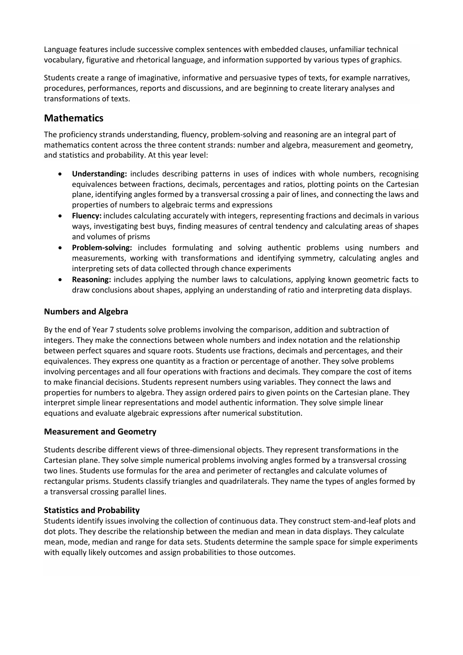Language features include successive complex sentences with embedded clauses, unfamiliar technical vocabulary, figurative and rhetorical language, and information supported by various types of graphics.

Students create a range of imaginative, informative and persuasive types of texts, for example narratives, procedures, performances, reports and discussions, and are beginning to create literary analyses and transformations of texts.

## **Mathematics**

The proficiency strands understanding, fluency, problem-solving and reasoning are an integral part of mathematics content across the three content strands: number and algebra, measurement and geometry, and statistics and probability. At this year level:

- **Understanding:** includes describing patterns in uses of indices with whole numbers, recognising equivalences between fractions, decimals, percentages and ratios, plotting points on the Cartesian plane, identifying angles formed by a transversal crossing a pair of lines, and connecting the laws and properties of numbers to algebraic terms and expressions
- **Fluency:** includes calculating accurately with integers, representing fractions and decimals in various ways, investigating best buys, finding measures of central tendency and calculating areas of shapes and volumes of prisms
- **Problem-solving:** includes formulating and solving authentic problems using numbers and measurements, working with transformations and identifying symmetry, calculating angles and interpreting sets of data collected through chance experiments
- **Reasoning:** includes applying the number laws to calculations, applying known geometric facts to draw conclusions about shapes, applying an understanding of ratio and interpreting data displays.

#### **Numbers and Algebra**

By the end of Year 7 students solve problems involving the comparison, addition and subtraction of integers. They make the connections between whole numbers and index notation and the relationship between perfect squares and square roots. Students use fractions, decimals and percentages, and their equivalences. They express one quantity as a fraction or percentage of another. They solve problems involving percentages and all four operations with fractions and decimals. They compare the cost of items to make financial decisions. Students represent numbers using variables. They connect the laws and properties for numbers to algebra. They assign ordered pairs to given points on the Cartesian plane. They interpret simple linear representations and model authentic information. They solve simple linear equations and evaluate algebraic expressions after numerical substitution.

#### **Measurement and Geometry**

Students describe different views of three-dimensional objects. They represent transformations in the Cartesian plane. They solve simple numerical problems involving angles formed by a transversal crossing two lines. Students use formulas for the area and perimeter of rectangles and calculate volumes of rectangular prisms. Students classify triangles and quadrilaterals. They name the types of angles formed by a transversal crossing parallel lines.

#### **Statistics and Probability**

Students identify issues involving the collection of continuous data. They construct stem-and-leaf plots and dot plots. They describe the relationship between the median and mean in data displays. They calculate mean, mode, median and range for data sets. Students determine the sample space for simple experiments with equally likely outcomes and assign probabilities to those outcomes.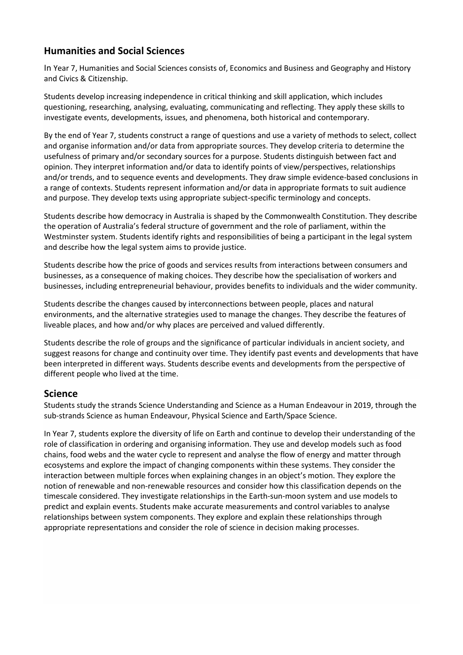# **Humanities and Social Sciences**

In Year 7, Humanities and Social Sciences consists of, Economics and Business and Geography and History and Civics & Citizenship.

Students develop increasing independence in critical thinking and skill application, which includes questioning, researching, analysing, evaluating, communicating and reflecting. They apply these skills to investigate events, developments, issues, and phenomena, both historical and contemporary.

By the end of Year 7, students construct a range of questions and use a variety of methods to select, collect and organise information and/or data from appropriate sources. They develop criteria to determine the usefulness of primary and/or secondary sources for a purpose. Students distinguish between fact and opinion. They interpret information and/or data to identify points of view/perspectives, relationships and/or trends, and to sequence events and developments. They draw simple evidence-based conclusions in a range of contexts. Students represent information and/or data in appropriate formats to suit audience and purpose. They develop texts using appropriate subject-specific terminology and concepts.

Students describe how democracy in Australia is shaped by the Commonwealth Constitution. They describe the operation of Australia's federal structure of government and the role of parliament, within the Westminster system. Students identify rights and responsibilities of being a participant in the legal system and describe how the legal system aims to provide justice.

Students describe how the price of goods and services results from interactions between consumers and businesses, as a consequence of making choices. They describe how the specialisation of workers and businesses, including entrepreneurial behaviour, provides benefits to individuals and the wider community.

Students describe the changes caused by interconnections between people, places and natural environments, and the alternative strategies used to manage the changes. They describe the features of liveable places, and how and/or why places are perceived and valued differently.

Students describe the role of groups and the significance of particular individuals in ancient society, and suggest reasons for change and continuity over time. They identify past events and developments that have been interpreted in different ways. Students describe events and developments from the perspective of different people who lived at the time.

# **Science**

Students study the strands Science Understanding and Science as a Human Endeavour in 2019, through the sub-strands Science as human Endeavour, Physical Science and Earth/Space Science.

In Year 7, students explore the diversity of life on Earth and continue to develop their understanding of the role of classification in ordering and organising information. They use and develop models such as food chains, food webs and the water cycle to represent and analyse the flow of energy and matter through ecosystems and explore the impact of changing components within these systems. They consider the interaction between multiple forces when explaining changes in an object's motion. They explore the notion of renewable and non-renewable resources and consider how this classification depends on the timescale considered. They investigate relationships in the Earth-sun-moon system and use models to predict and explain events. Students make accurate measurements and control variables to analyse relationships between system components. They explore and explain these relationships through appropriate representations and consider the role of science in decision making processes.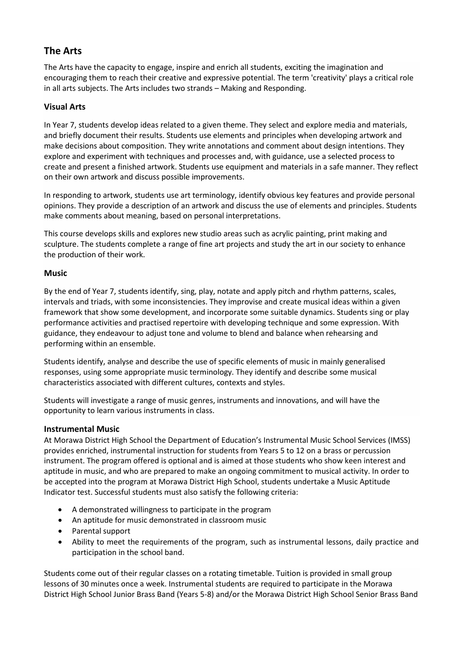# **The Arts**

The Arts have the capacity to engage, inspire and enrich all students, exciting the imagination and encouraging them to reach their creative and expressive potential. The term 'creativity' plays a critical role in all arts subjects. The Arts includes two strands – Making and Responding.

#### **Visual Arts**

In Year 7, students develop ideas related to a given theme. They select and explore media and materials, and briefly document their results. Students use elements and principles when developing artwork and make decisions about composition. They write annotations and comment about design intentions. They explore and experiment with techniques and processes and, with guidance, use a selected process to create and present a finished artwork. Students use equipment and materials in a safe manner. They reflect on their own artwork and discuss possible improvements.

In responding to artwork, students use art terminology, identify obvious key features and provide personal opinions. They provide a description of an artwork and discuss the use of elements and principles. Students make comments about meaning, based on personal interpretations.

This course develops skills and explores new studio areas such as acrylic painting, print making and sculpture. The students complete a range of fine art projects and study the art in our society to enhance the production of their work.

#### **Music**

By the end of Year 7, students identify, sing, play, notate and apply pitch and rhythm patterns, scales, intervals and triads, with some inconsistencies. They improvise and create musical ideas within a given framework that show some development, and incorporate some suitable dynamics. Students sing or play performance activities and practised repertoire with developing technique and some expression. With guidance, they endeavour to adjust tone and volume to blend and balance when rehearsing and performing within an ensemble.

Students identify, analyse and describe the use of specific elements of music in mainly generalised responses, using some appropriate music terminology. They identify and describe some musical characteristics associated with different cultures, contexts and styles.

Students will investigate a range of music genres, instruments and innovations, and will have the opportunity to learn various instruments in class.

#### **Instrumental Music**

At Morawa District High School the Department of Education's Instrumental Music School Services (IMSS) provides enriched, instrumental instruction for students from Years 5 to 12 on a brass or percussion instrument. The program offered is optional and is aimed at those students who show keen interest and aptitude in music, and who are prepared to make an ongoing commitment to musical activity. In order to be accepted into the program at Morawa District High School, students undertake a Music Aptitude Indicator test. Successful students must also satisfy the following criteria:

- A demonstrated willingness to participate in the program
- An aptitude for music demonstrated in classroom music
- Parental support
- Ability to meet the requirements of the program, such as instrumental lessons, daily practice and participation in the school band.

Students come out of their regular classes on a rotating timetable. Tuition is provided in small group lessons of 30 minutes once a week. Instrumental students are required to participate in the Morawa District High School Junior Brass Band (Years 5-8) and/or the Morawa District High School Senior Brass Band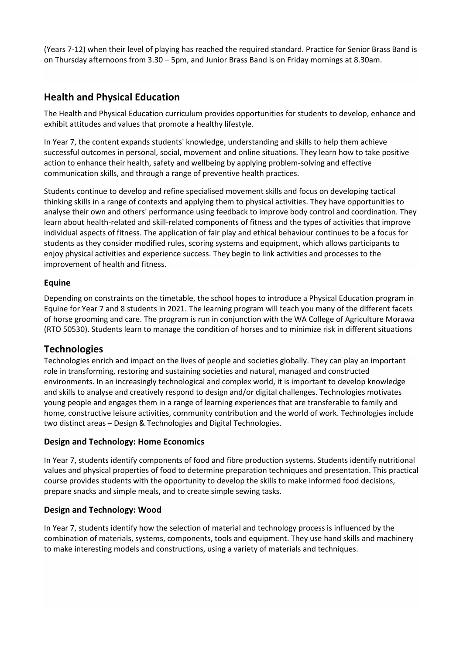(Years 7-12) when their level of playing has reached the required standard. Practice for Senior Brass Band is on Thursday afternoons from 3.30 – 5pm, and Junior Brass Band is on Friday mornings at 8.30am.

# **Health and Physical Education**

The Health and Physical Education curriculum provides opportunities for students to develop, enhance and exhibit attitudes and values that promote a healthy lifestyle.

In Year 7, the content expands students' knowledge, understanding and skills to help them achieve successful outcomes in personal, social, movement and online situations. They learn how to take positive action to enhance their health, safety and wellbeing by applying problem-solving and effective communication skills, and through a range of preventive health practices.

Students continue to develop and refine specialised movement skills and focus on developing tactical thinking skills in a range of contexts and applying them to physical activities. They have opportunities to analyse their own and others' performance using feedback to improve body control and coordination. They learn about health-related and skill-related components of fitness and the types of activities that improve individual aspects of fitness. The application of fair play and ethical behaviour continues to be a focus for students as they consider modified rules, scoring systems and equipment, which allows participants to enjoy physical activities and experience success. They begin to link activities and processes to the improvement of health and fitness.

#### **Equine**

Depending on constraints on the timetable, the school hopes to introduce a Physical Education program in Equine for Year 7 and 8 students in 2021. The learning program will teach you many of the different facets of horse grooming and care. The program is run in conjunction with the WA College of Agriculture Morawa (RTO 50530). Students learn to manage the condition of horses and to minimize risk in different situations

#### **Technologies**

Technologies enrich and impact on the lives of people and societies globally. They can play an important role in transforming, restoring and sustaining societies and natural, managed and constructed environments. In an increasingly technological and complex world, it is important to develop knowledge and skills to analyse and creatively respond to design and/or digital challenges. Technologies motivates young people and engages them in a range of learning experiences that are transferable to family and home, constructive leisure activities, community contribution and the world of work. Technologies include two distinct areas – Design & Technologies and Digital Technologies.

#### **Design and Technology: Home Economics**

In Year 7, students identify components of food and fibre production systems. Students identify nutritional values and physical properties of food to determine preparation techniques and presentation. This practical course provides students with the opportunity to develop the skills to make informed food decisions, prepare snacks and simple meals, and to create simple sewing tasks.

#### **Design and Technology: Wood**

In Year 7, students identify how the selection of material and technology process is influenced by the combination of materials, systems, components, tools and equipment. They use hand skills and machinery to make interesting models and constructions, using a variety of materials and techniques.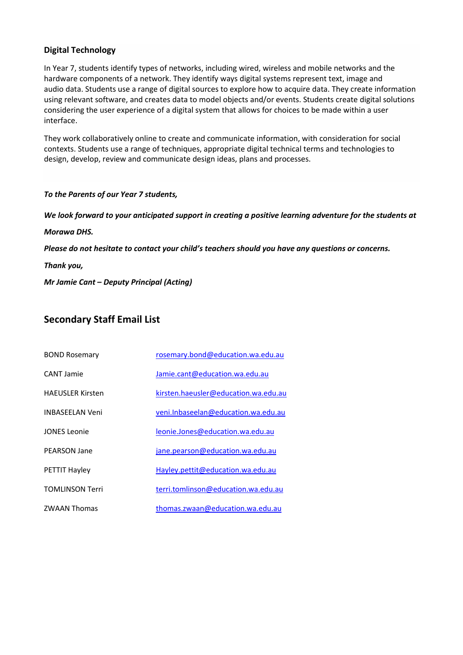#### **Digital Technology**

In Year 7, students identify types of networks, including wired, wireless and mobile networks and the hardware components of a network. They identify ways digital systems represent text, image and audio data. Students use a range of digital sources to explore how to acquire data. They create information using relevant software, and creates data to model objects and/or events. Students create digital solutions considering the user experience of a digital system that allows for choices to be made within a user interface.

They work collaboratively online to create and communicate information, with consideration for social contexts. Students use a range of techniques, appropriate digital technical terms and technologies to design, develop, review and communicate design ideas, plans and processes.

#### *To the Parents of our Year 7 students,*

*We look forward to your anticipated support in creating a positive learning adventure for the students at Morawa DHS. Please do not hesitate to contact your child's teachers should you have any questions or concerns. Thank you, Mr Jamie Cant – Deputy Principal (Acting)*

# **Secondary Staff Email List**

| <b>BOND Rosemary</b>    | rosemary.bond@education.wa.edu.au    |
|-------------------------|--------------------------------------|
| CANT Jamie              | Jamie.cant@education.wa.edu.au       |
| <b>HAFUSLER Kirsten</b> | kirsten.haeusler@education.wa.edu.au |
| <b>INBASFFI AN Veni</b> | veni.Inbaseelan@education.wa.edu.au  |
| <b>JONES Leonie</b>     | leonie.Jones@education.wa.edu.au     |
| <b>PEARSON Jane</b>     | jane.pearson@education.wa.edu.au     |
| PETTIT Hayley           | Hayley.pettit@education.wa.edu.au    |
| <b>TOMLINSON Terri</b>  | terri.tomlinson@education.wa.edu.au  |
| <b>ZWAAN Thomas</b>     | thomas.zwaan@education.wa.edu.au     |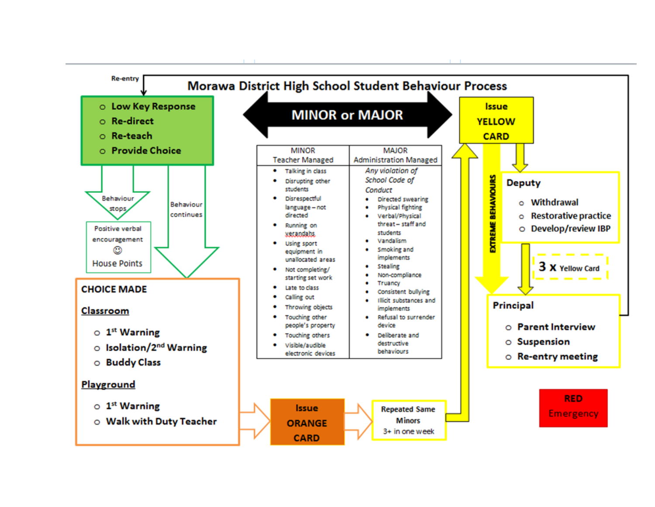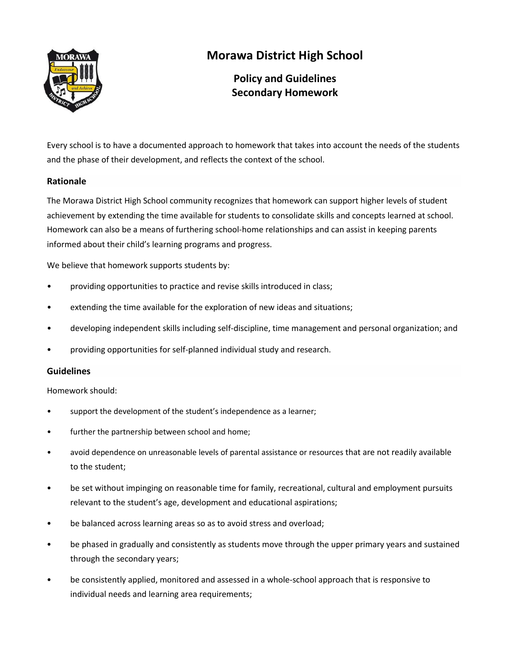

# **Morawa District High School**

**Policy and Guidelines Secondary Homework**

Every school is to have a documented approach to homework that takes into account the needs of the students and the phase of their development, and reflects the context of the school.

#### **Rationale**

The Morawa District High School community recognizes that homework can support higher levels of student achievement by extending the time available for students to consolidate skills and concepts learned at school. Homework can also be a means of furthering school-home relationships and can assist in keeping parents informed about their child's learning programs and progress.

We believe that homework supports students by:

- providing opportunities to practice and revise skills introduced in class;
- extending the time available for the exploration of new ideas and situations;
- developing independent skills including self-discipline, time management and personal organization; and
- providing opportunities for self-planned individual study and research.

#### **Guidelines**

Homework should:

- support the development of the student's independence as a learner;
- further the partnership between school and home;
- avoid dependence on unreasonable levels of parental assistance or resources that are not readily available to the student;
- be set without impinging on reasonable time for family, recreational, cultural and employment pursuits relevant to the student's age, development and educational aspirations;
- be balanced across learning areas so as to avoid stress and overload;
- be phased in gradually and consistently as students move through the upper primary years and sustained through the secondary years;
- be consistently applied, monitored and assessed in a whole-school approach that is responsive to individual needs and learning area requirements;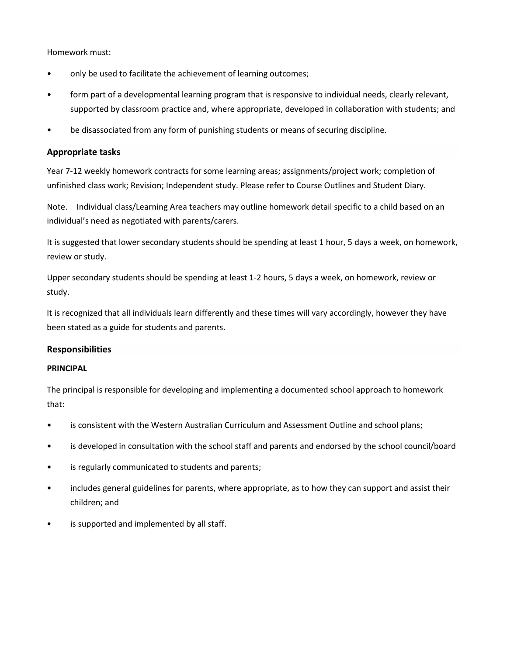Homework must:

- only be used to facilitate the achievement of learning outcomes;
- form part of a developmental learning program that is responsive to individual needs, clearly relevant, supported by classroom practice and, where appropriate, developed in collaboration with students; and
- be disassociated from any form of punishing students or means of securing discipline.

#### **Appropriate tasks**

Year 7-12 weekly homework contracts for some learning areas; assignments/project work; completion of unfinished class work; Revision; Independent study. Please refer to Course Outlines and Student Diary.

Note. Individual class/Learning Area teachers may outline homework detail specific to a child based on an individual's need as negotiated with parents/carers.

It is suggested that lower secondary students should be spending at least 1 hour, 5 days a week, on homework, review or study.

Upper secondary students should be spending at least 1-2 hours, 5 days a week, on homework, review or study.

It is recognized that all individuals learn differently and these times will vary accordingly, however they have been stated as a guide for students and parents.

#### **Responsibilities**

#### **PRINCIPAL**

The principal is responsible for developing and implementing a documented school approach to homework that:

- is consistent with the Western Australian Curriculum and Assessment Outline and school plans;
- is developed in consultation with the school staff and parents and endorsed by the school council/board
- is regularly communicated to students and parents;
- includes general guidelines for parents, where appropriate, as to how they can support and assist their children; and
- is supported and implemented by all staff.